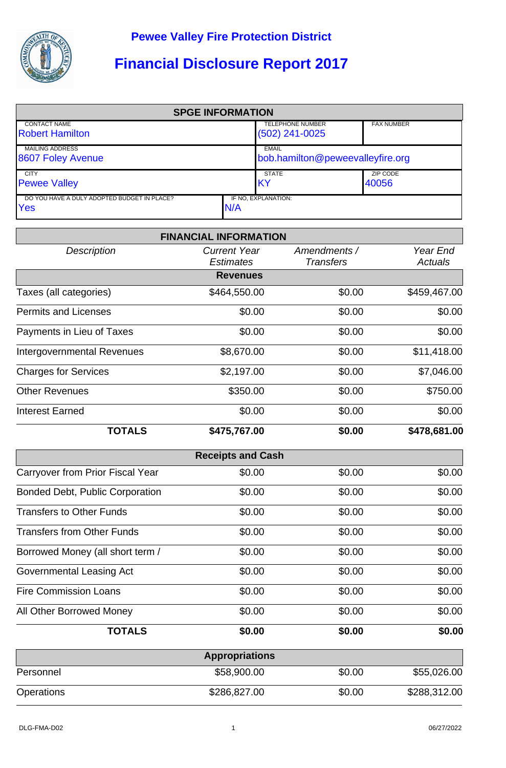

## **Financial Disclosure Report 2017**

| <b>SPGE INFORMATION</b>                       |     |                                  |                   |  |  |
|-----------------------------------------------|-----|----------------------------------|-------------------|--|--|
| <b>CONTACT NAME</b><br><b>Robert Hamilton</b> |     | <b>TELEPHONE NUMBER</b>          | <b>FAX NUMBER</b> |  |  |
|                                               |     | $(502)$ 241-0025                 |                   |  |  |
| <b>MAILING ADDRESS</b>                        |     | EMAIL                            |                   |  |  |
| 8607 Foley Avenue                             |     | bob.hamilton@peweevalleyfire.org |                   |  |  |
| CITY                                          |     | <b>STATE</b>                     | ZIP CODE          |  |  |
| <b>Pewee Valley</b>                           |     | <b>IKY</b>                       | 40056             |  |  |
| DO YOU HAVE A DULY ADOPTED BUDGET IN PLACE?   |     | IF NO. EXPLANATION:              |                   |  |  |
| <b>Yes</b>                                    | N/A |                                  |                   |  |  |

|                                        | <b>FINANCIAL INFORMATION</b>            |                                  |                            |
|----------------------------------------|-----------------------------------------|----------------------------------|----------------------------|
| <b>Description</b>                     | <b>Current Year</b><br><b>Estimates</b> | Amendments /<br><b>Transfers</b> | Year End<br><b>Actuals</b> |
|                                        | <b>Revenues</b>                         |                                  |                            |
| Taxes (all categories)                 | \$464,550.00                            | \$0.00                           | \$459,467.00               |
| <b>Permits and Licenses</b>            | \$0.00                                  | \$0.00                           | \$0.00                     |
| Payments in Lieu of Taxes              | \$0.00                                  | \$0.00                           | \$0.00                     |
| <b>Intergovernmental Revenues</b>      | \$8,670.00                              | \$0.00                           | \$11,418.00                |
| <b>Charges for Services</b>            | \$2,197.00                              | \$0.00                           | \$7,046.00                 |
| <b>Other Revenues</b>                  | \$350.00                                | \$0.00                           | \$750.00                   |
| <b>Interest Earned</b>                 | \$0.00                                  | \$0.00                           | \$0.00                     |
| <b>TOTALS</b>                          | \$475,767.00                            | \$0.00                           | \$478,681.00               |
|                                        | <b>Receipts and Cash</b>                |                                  |                            |
| Carryover from Prior Fiscal Year       | \$0.00                                  | \$0.00                           | \$0.00                     |
| <b>Bonded Debt, Public Corporation</b> | \$0.00                                  | \$0.00                           | \$0.00                     |
| <b>Transfers to Other Funds</b>        | \$0.00                                  | \$0.00                           | \$0.00                     |
| <b>Transfers from Other Funds</b>      | \$0.00                                  | \$0.00                           | \$0.00                     |
| Borrowed Money (all short term /       | \$0.00                                  | \$0.00                           | \$0.00                     |
| <b>Governmental Leasing Act</b>        | \$0.00                                  | \$0.00                           | \$0.00                     |
| <b>Fire Commission Loans</b>           | \$0.00                                  | \$0.00                           | \$0.00                     |
| All Other Borrowed Money               | \$0.00                                  | \$0.00                           | \$0.00                     |
| <b>TOTALS</b>                          | \$0.00                                  | \$0.00                           | \$0.00                     |
|                                        | <b>Appropriations</b>                   |                                  |                            |
| Personnel                              | \$58,900.00                             | \$0.00                           | \$55,026.00                |
| Operations                             | \$286,827.00                            | \$0.00                           | \$288,312.00               |